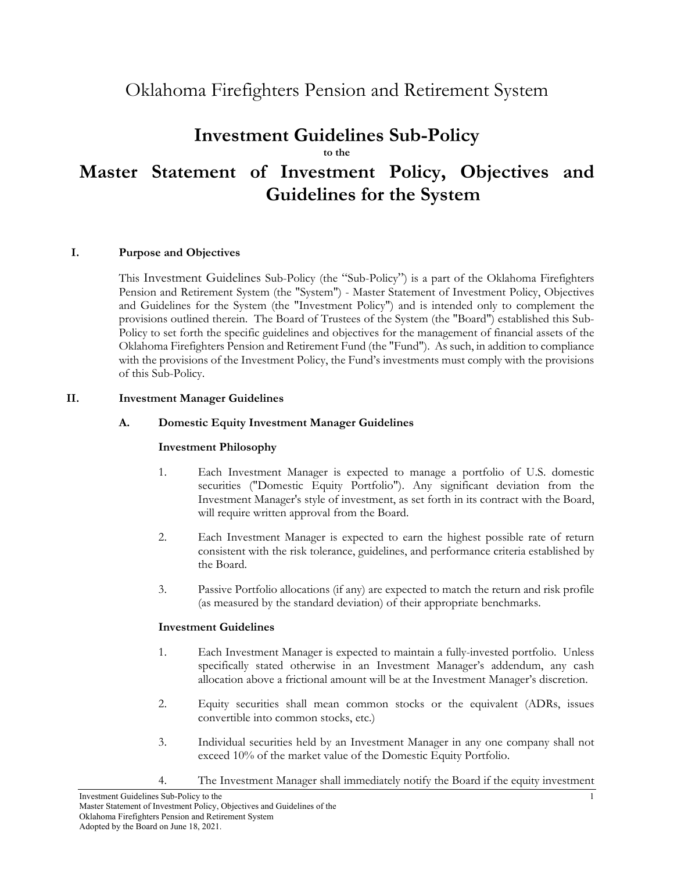# Oklahoma Firefighters Pension and Retirement System

## **Investment Guidelines Sub-Policy**

**to the** 

# **Master Statement of Investment Policy, Objectives and Guidelines for the System**

#### **I. Purpose and Objectives**

This Investment Guidelines Sub-Policy (the "Sub-Policy") is a part of the Oklahoma Firefighters Pension and Retirement System (the "System") - Master Statement of Investment Policy, Objectives and Guidelines for the System (the "Investment Policy") and is intended only to complement the provisions outlined therein. The Board of Trustees of the System (the "Board") established this Sub-Policy to set forth the specific guidelines and objectives for the management of financial assets of the Oklahoma Firefighters Pension and Retirement Fund (the "Fund"). As such, in addition to compliance with the provisions of the Investment Policy, the Fund's investments must comply with the provisions of this Sub-Policy.

#### **II. Investment Manager Guidelines**

#### **A. Domestic Equity Investment Manager Guidelines**

#### **Investment Philosophy**

- 1. Each Investment Manager is expected to manage a portfolio of U.S. domestic securities ("Domestic Equity Portfolio"). Any significant deviation from the Investment Manager's style of investment, as set forth in its contract with the Board, will require written approval from the Board.
- 2. Each Investment Manager is expected to earn the highest possible rate of return consistent with the risk tolerance, guidelines, and performance criteria established by the Board.
- 3. Passive Portfolio allocations (if any) are expected to match the return and risk profile (as measured by the standard deviation) of their appropriate benchmarks.

- 1. Each Investment Manager is expected to maintain a fully-invested portfolio. Unless specifically stated otherwise in an Investment Manager's addendum, any cash allocation above a frictional amount will be at the Investment Manager's discretion.
- 2. Equity securities shall mean common stocks or the equivalent (ADRs, issues convertible into common stocks, etc.)
- 3. Individual securities held by an Investment Manager in any one company shall not exceed 10% of the market value of the Domestic Equity Portfolio.
- 4. The Investment Manager shall immediately notify the Board if the equity investment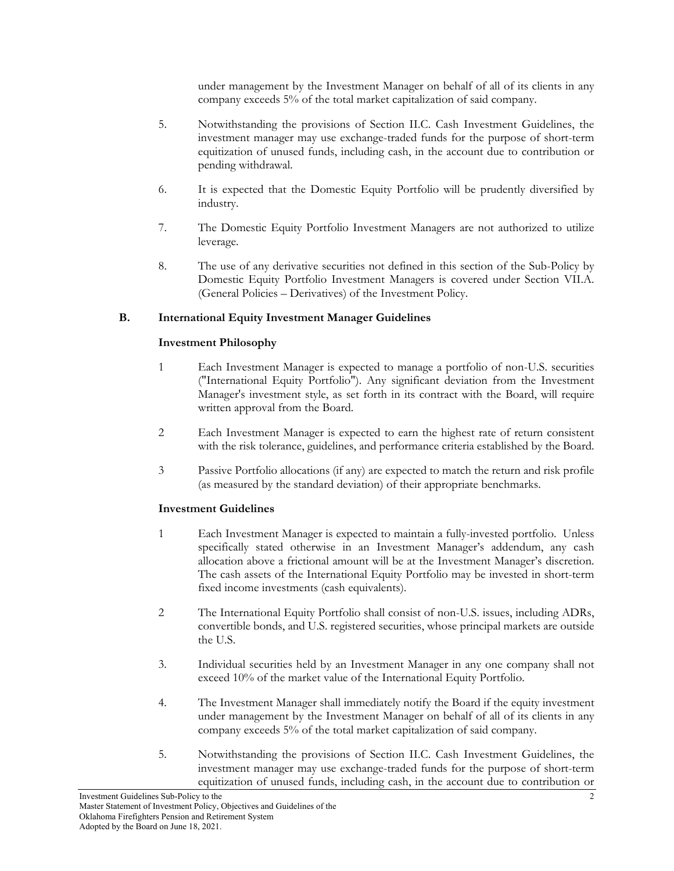under management by the Investment Manager on behalf of all of its clients in any company exceeds 5% of the total market capitalization of said company.

- 5. Notwithstanding the provisions of Section II.C. Cash Investment Guidelines, the investment manager may use exchange-traded funds for the purpose of short-term equitization of unused funds, including cash, in the account due to contribution or pending withdrawal.
- 6. It is expected that the Domestic Equity Portfolio will be prudently diversified by industry.
- 7. The Domestic Equity Portfolio Investment Managers are not authorized to utilize leverage.
- 8. The use of any derivative securities not defined in this section of the Sub-Policy by Domestic Equity Portfolio Investment Managers is covered under Section VII.A. (General Policies – Derivatives) of the Investment Policy.

#### **B. International Equity Investment Manager Guidelines**

#### **Investment Philosophy**

- 1 Each Investment Manager is expected to manage a portfolio of non-U.S. securities ("International Equity Portfolio"). Any significant deviation from the Investment Manager's investment style, as set forth in its contract with the Board, will require written approval from the Board.
- 2 Each Investment Manager is expected to earn the highest rate of return consistent with the risk tolerance, guidelines, and performance criteria established by the Board.
- 3 Passive Portfolio allocations (if any) are expected to match the return and risk profile (as measured by the standard deviation) of their appropriate benchmarks.

- 1 Each Investment Manager is expected to maintain a fully-invested portfolio. Unless specifically stated otherwise in an Investment Manager's addendum, any cash allocation above a frictional amount will be at the Investment Manager's discretion. The cash assets of the International Equity Portfolio may be invested in short-term fixed income investments (cash equivalents).
- 2 The International Equity Portfolio shall consist of non-U.S. issues, including ADRs, convertible bonds, and U.S. registered securities, whose principal markets are outside the U.S.
- 3. Individual securities held by an Investment Manager in any one company shall not exceed 10% of the market value of the International Equity Portfolio.
- 4. The Investment Manager shall immediately notify the Board if the equity investment under management by the Investment Manager on behalf of all of its clients in any company exceeds 5% of the total market capitalization of said company.
- 5. Notwithstanding the provisions of Section II.C. Cash Investment Guidelines, the investment manager may use exchange-traded funds for the purpose of short-term equitization of unused funds, including cash, in the account due to contribution or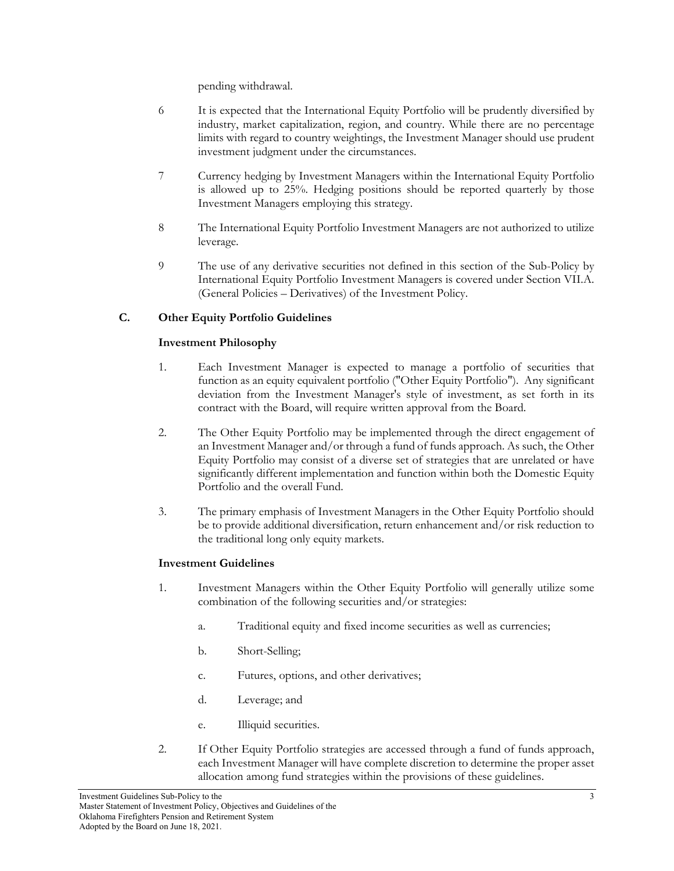pending withdrawal.

- 6 It is expected that the International Equity Portfolio will be prudently diversified by industry, market capitalization, region, and country. While there are no percentage limits with regard to country weightings, the Investment Manager should use prudent investment judgment under the circumstances.
- 7 Currency hedging by Investment Managers within the International Equity Portfolio is allowed up to 25%. Hedging positions should be reported quarterly by those Investment Managers employing this strategy.
- 8 The International Equity Portfolio Investment Managers are not authorized to utilize leverage.
- 9 The use of any derivative securities not defined in this section of the Sub-Policy by International Equity Portfolio Investment Managers is covered under Section VII.A. (General Policies – Derivatives) of the Investment Policy.

## **C. Other Equity Portfolio Guidelines**

## **Investment Philosophy**

- 1. Each Investment Manager is expected to manage a portfolio of securities that function as an equity equivalent portfolio ("Other Equity Portfolio"). Any significant deviation from the Investment Manager's style of investment, as set forth in its contract with the Board, will require written approval from the Board.
- 2. The Other Equity Portfolio may be implemented through the direct engagement of an Investment Manager and/or through a fund of funds approach. As such, the Other Equity Portfolio may consist of a diverse set of strategies that are unrelated or have significantly different implementation and function within both the Domestic Equity Portfolio and the overall Fund.
- 3. The primary emphasis of Investment Managers in the Other Equity Portfolio should be to provide additional diversification, return enhancement and/or risk reduction to the traditional long only equity markets.

- 1. Investment Managers within the Other Equity Portfolio will generally utilize some combination of the following securities and/or strategies:
	- a. Traditional equity and fixed income securities as well as currencies;
	- b. Short-Selling;
	- c. Futures, options, and other derivatives;
	- d. Leverage; and
	- e. Illiquid securities.
- 2. If Other Equity Portfolio strategies are accessed through a fund of funds approach, each Investment Manager will have complete discretion to determine the proper asset allocation among fund strategies within the provisions of these guidelines.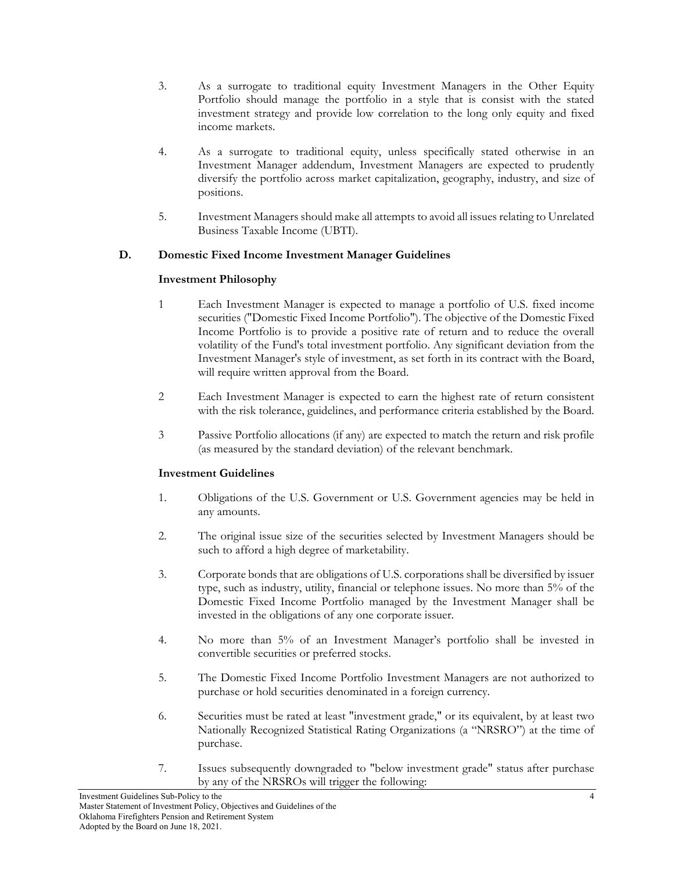- 3. As a surrogate to traditional equity Investment Managers in the Other Equity Portfolio should manage the portfolio in a style that is consist with the stated investment strategy and provide low correlation to the long only equity and fixed income markets.
- 4. As a surrogate to traditional equity, unless specifically stated otherwise in an Investment Manager addendum, Investment Managers are expected to prudently diversify the portfolio across market capitalization, geography, industry, and size of positions.
- 5. Investment Managers should make all attempts to avoid all issues relating to Unrelated Business Taxable Income (UBTI).

#### **D. Domestic Fixed Income Investment Manager Guidelines**

#### **Investment Philosophy**

- 1 Each Investment Manager is expected to manage a portfolio of U.S. fixed income securities ("Domestic Fixed Income Portfolio"). The objective of the Domestic Fixed Income Portfolio is to provide a positive rate of return and to reduce the overall volatility of the Fund's total investment portfolio. Any significant deviation from the Investment Manager's style of investment, as set forth in its contract with the Board, will require written approval from the Board.
- 2 Each Investment Manager is expected to earn the highest rate of return consistent with the risk tolerance, guidelines, and performance criteria established by the Board.
- 3 Passive Portfolio allocations (if any) are expected to match the return and risk profile (as measured by the standard deviation) of the relevant benchmark.

- 1. Obligations of the U.S. Government or U.S. Government agencies may be held in any amounts.
- 2. The original issue size of the securities selected by Investment Managers should be such to afford a high degree of marketability.
- 3. Corporate bonds that are obligations of U.S. corporations shall be diversified by issuer type, such as industry, utility, financial or telephone issues. No more than 5% of the Domestic Fixed Income Portfolio managed by the Investment Manager shall be invested in the obligations of any one corporate issuer.
- 4. No more than 5% of an Investment Manager's portfolio shall be invested in convertible securities or preferred stocks.
- 5. The Domestic Fixed Income Portfolio Investment Managers are not authorized to purchase or hold securities denominated in a foreign currency.
- 6. Securities must be rated at least "investment grade," or its equivalent, by at least two Nationally Recognized Statistical Rating Organizations (a "NRSRO") at the time of purchase.
- 7. Issues subsequently downgraded to "below investment grade" status after purchase by any of the NRSROs will trigger the following: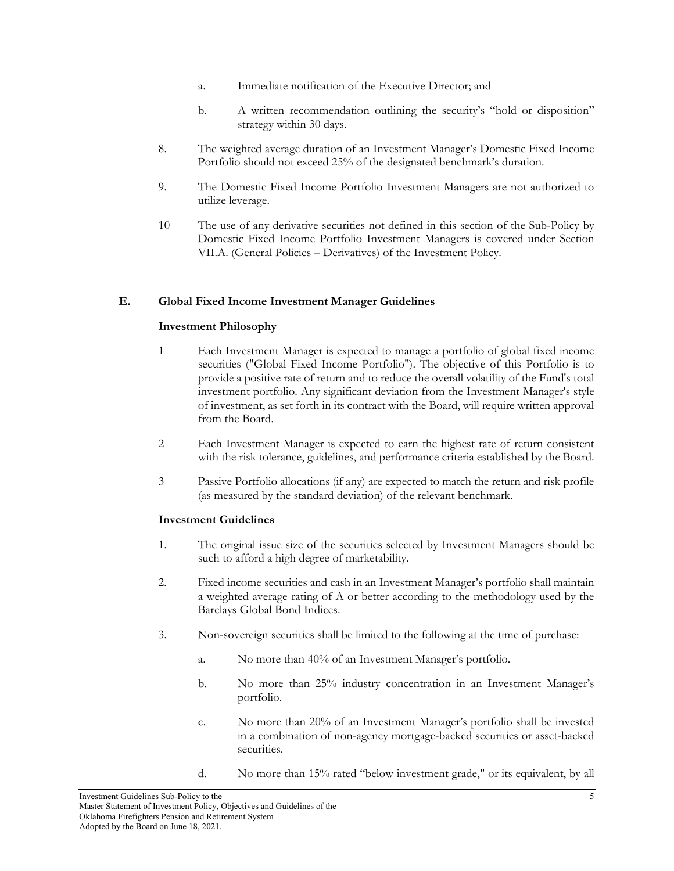- a. Immediate notification of the Executive Director; and
- b. A written recommendation outlining the security's "hold or disposition" strategy within 30 days.
- 8. The weighted average duration of an Investment Manager's Domestic Fixed Income Portfolio should not exceed 25% of the designated benchmark's duration.
- 9. The Domestic Fixed Income Portfolio Investment Managers are not authorized to utilize leverage.
- 10 The use of any derivative securities not defined in this section of the Sub-Policy by Domestic Fixed Income Portfolio Investment Managers is covered under Section VII.A. (General Policies – Derivatives) of the Investment Policy.

#### **E. Global Fixed Income Investment Manager Guidelines**

#### **Investment Philosophy**

- 1 Each Investment Manager is expected to manage a portfolio of global fixed income securities ("Global Fixed Income Portfolio"). The objective of this Portfolio is to provide a positive rate of return and to reduce the overall volatility of the Fund's total investment portfolio. Any significant deviation from the Investment Manager's style of investment, as set forth in its contract with the Board, will require written approval from the Board.
- 2 Each Investment Manager is expected to earn the highest rate of return consistent with the risk tolerance, guidelines, and performance criteria established by the Board.
- 3 Passive Portfolio allocations (if any) are expected to match the return and risk profile (as measured by the standard deviation) of the relevant benchmark.

- 1. The original issue size of the securities selected by Investment Managers should be such to afford a high degree of marketability.
- 2. Fixed income securities and cash in an Investment Manager's portfolio shall maintain a weighted average rating of A or better according to the methodology used by the Barclays Global Bond Indices.
- 3. Non-sovereign securities shall be limited to the following at the time of purchase:
	- a. No more than 40% of an Investment Manager's portfolio.
	- b. No more than 25% industry concentration in an Investment Manager's portfolio.
	- c. No more than 20% of an Investment Manager's portfolio shall be invested in a combination of non-agency mortgage-backed securities or asset-backed securities.
	- d. No more than 15% rated "below investment grade," or its equivalent, by all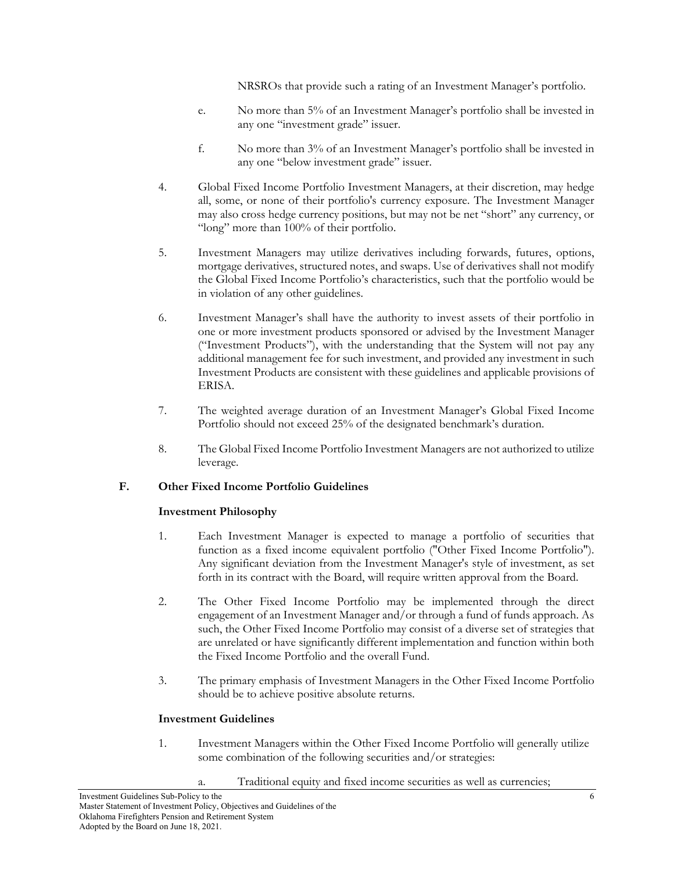NRSROs that provide such a rating of an Investment Manager's portfolio.

- e. No more than 5% of an Investment Manager's portfolio shall be invested in any one "investment grade" issuer.
- f. No more than 3% of an Investment Manager's portfolio shall be invested in any one "below investment grade" issuer.
- 4. Global Fixed Income Portfolio Investment Managers, at their discretion, may hedge all, some, or none of their portfolio's currency exposure. The Investment Manager may also cross hedge currency positions, but may not be net "short" any currency, or "long" more than 100% of their portfolio.
- 5. Investment Managers may utilize derivatives including forwards, futures, options, mortgage derivatives, structured notes, and swaps. Use of derivatives shall not modify the Global Fixed Income Portfolio's characteristics, such that the portfolio would be in violation of any other guidelines.
- 6. Investment Manager's shall have the authority to invest assets of their portfolio in one or more investment products sponsored or advised by the Investment Manager ("Investment Products"), with the understanding that the System will not pay any additional management fee for such investment, and provided any investment in such Investment Products are consistent with these guidelines and applicable provisions of ERISA.
- 7. The weighted average duration of an Investment Manager's Global Fixed Income Portfolio should not exceed 25% of the designated benchmark's duration.
- 8. The Global Fixed Income Portfolio Investment Managers are not authorized to utilize leverage.

## **F. Other Fixed Income Portfolio Guidelines**

## **Investment Philosophy**

- 1. Each Investment Manager is expected to manage a portfolio of securities that function as a fixed income equivalent portfolio ("Other Fixed Income Portfolio"). Any significant deviation from the Investment Manager's style of investment, as set forth in its contract with the Board, will require written approval from the Board.
- 2. The Other Fixed Income Portfolio may be implemented through the direct engagement of an Investment Manager and/or through a fund of funds approach. As such, the Other Fixed Income Portfolio may consist of a diverse set of strategies that are unrelated or have significantly different implementation and function within both the Fixed Income Portfolio and the overall Fund.
- 3. The primary emphasis of Investment Managers in the Other Fixed Income Portfolio should be to achieve positive absolute returns.

- 1. Investment Managers within the Other Fixed Income Portfolio will generally utilize some combination of the following securities and/or strategies:
	- a. Traditional equity and fixed income securities as well as currencies;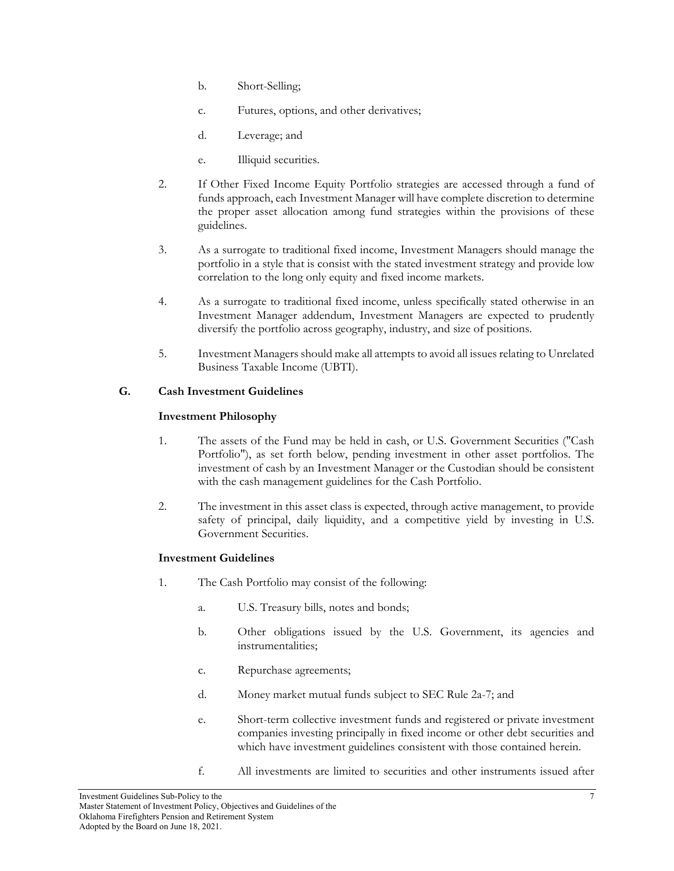- b. Short-Selling;
- c. Futures, options, and other derivatives;
- d. Leverage; and
- e. Illiquid securities.
- 2. If Other Fixed Income Equity Portfolio strategies are accessed through a fund of funds approach, each Investment Manager will have complete discretion to determine the proper asset allocation among fund strategies within the provisions of these guidelines.
- 3. As a surrogate to traditional fixed income, Investment Managers should manage the portfolio in a style that is consist with the stated investment strategy and provide low correlation to the long only equity and fixed income markets.
- 4. As a surrogate to traditional fixed income, unless specifically stated otherwise in an Investment Manager addendum, Investment Managers are expected to prudently diversify the portfolio across geography, industry, and size of positions.
- 5. Investment Managers should make all attempts to avoid all issues relating to Unrelated Business Taxable Income (UBTI).

## **G. Cash Investment Guidelines**

#### **Investment Philosophy**

- 1. The assets of the Fund may be held in cash, or U.S. Government Securities ("Cash Portfolio"), as set forth below, pending investment in other asset portfolios. The investment of cash by an Investment Manager or the Custodian should be consistent with the cash management guidelines for the Cash Portfolio.
- 2. The investment in this asset class is expected, through active management, to provide safety of principal, daily liquidity, and a competitive yield by investing in U.S. Government Securities.

- 1. The Cash Portfolio may consist of the following:
	- a. U.S. Treasury bills, notes and bonds;
	- b. Other obligations issued by the U.S. Government, its agencies and instrumentalities;
	- c. Repurchase agreements;
	- d. Money market mutual funds subject to SEC Rule 2a-7; and
	- e. Short-term collective investment funds and registered or private investment companies investing principally in fixed income or other debt securities and which have investment guidelines consistent with those contained herein.
	- f. All investments are limited to securities and other instruments issued after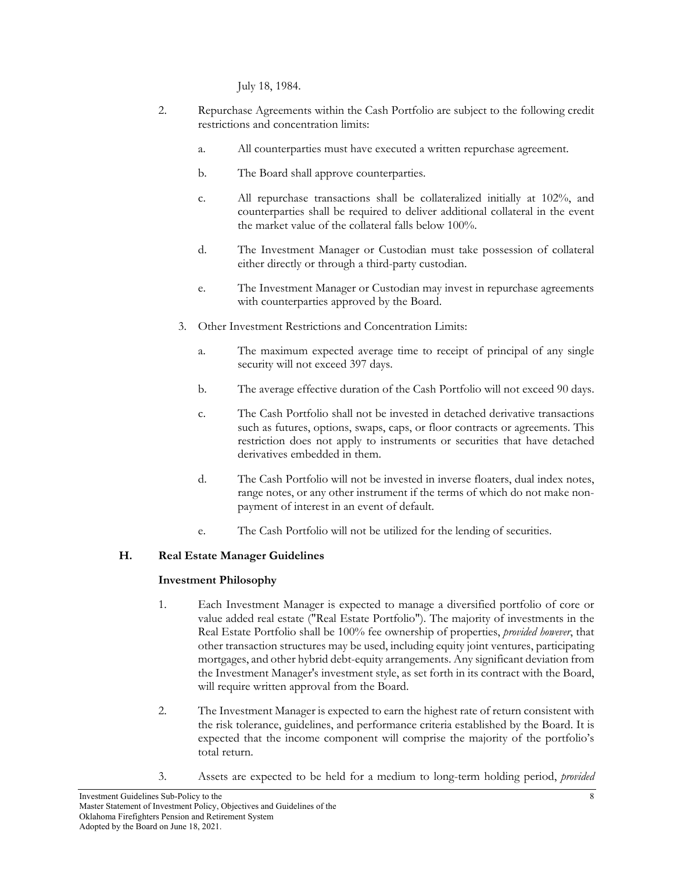July 18, 1984.

- 2. Repurchase Agreements within the Cash Portfolio are subject to the following credit restrictions and concentration limits:
	- a. All counterparties must have executed a written repurchase agreement.
	- b. The Board shall approve counterparties.
	- c. All repurchase transactions shall be collateralized initially at 102%, and counterparties shall be required to deliver additional collateral in the event the market value of the collateral falls below 100%.
	- d. The Investment Manager or Custodian must take possession of collateral either directly or through a third-party custodian.
	- e. The Investment Manager or Custodian may invest in repurchase agreements with counterparties approved by the Board.
	- 3. Other Investment Restrictions and Concentration Limits:
		- a. The maximum expected average time to receipt of principal of any single security will not exceed 397 days.
		- b. The average effective duration of the Cash Portfolio will not exceed 90 days.
		- c. The Cash Portfolio shall not be invested in detached derivative transactions such as futures, options, swaps, caps, or floor contracts or agreements. This restriction does not apply to instruments or securities that have detached derivatives embedded in them.
		- d. The Cash Portfolio will not be invested in inverse floaters, dual index notes, range notes, or any other instrument if the terms of which do not make nonpayment of interest in an event of default.
		- e. The Cash Portfolio will not be utilized for the lending of securities.

## **H. Real Estate Manager Guidelines**

## **Investment Philosophy**

- 1. Each Investment Manager is expected to manage a diversified portfolio of core or value added real estate ("Real Estate Portfolio"). The majority of investments in the Real Estate Portfolio shall be 100% fee ownership of properties, *provided however*, that other transaction structures may be used, including equity joint ventures, participating mortgages, and other hybrid debt-equity arrangements. Any significant deviation from the Investment Manager's investment style, as set forth in its contract with the Board, will require written approval from the Board.
- 2. The Investment Manager is expected to earn the highest rate of return consistent with the risk tolerance, guidelines, and performance criteria established by the Board. It is expected that the income component will comprise the majority of the portfolio's total return.
- 3. Assets are expected to be held for a medium to long-term holding period, *provided*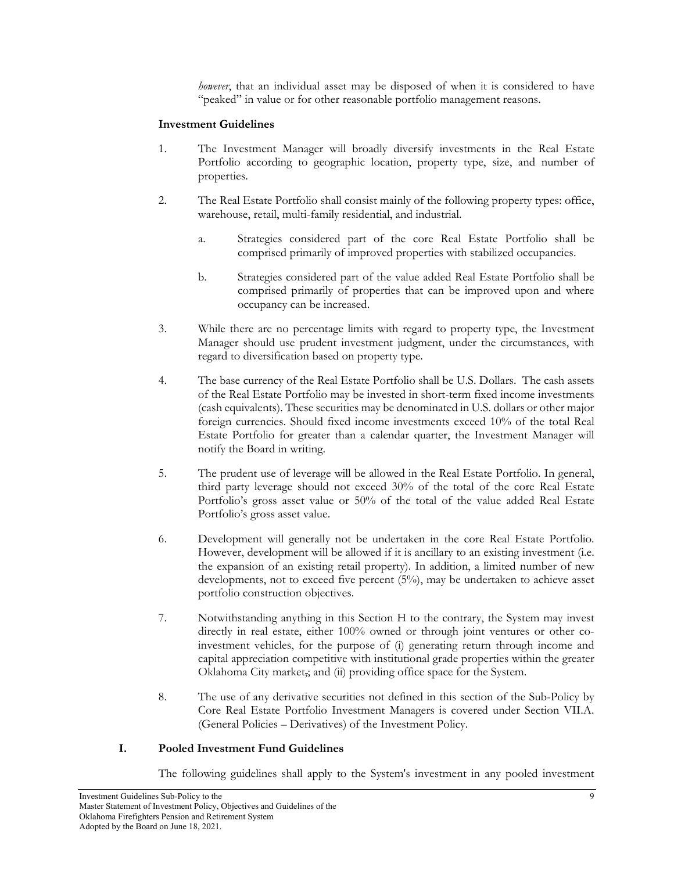*however*, that an individual asset may be disposed of when it is considered to have "peaked" in value or for other reasonable portfolio management reasons.

#### **Investment Guidelines**

- 1. The Investment Manager will broadly diversify investments in the Real Estate Portfolio according to geographic location, property type, size, and number of properties.
- 2. The Real Estate Portfolio shall consist mainly of the following property types: office, warehouse, retail, multi-family residential, and industrial.
	- a. Strategies considered part of the core Real Estate Portfolio shall be comprised primarily of improved properties with stabilized occupancies.
	- b. Strategies considered part of the value added Real Estate Portfolio shall be comprised primarily of properties that can be improved upon and where occupancy can be increased.
- 3. While there are no percentage limits with regard to property type, the Investment Manager should use prudent investment judgment, under the circumstances, with regard to diversification based on property type.
- 4. The base currency of the Real Estate Portfolio shall be U.S. Dollars. The cash assets of the Real Estate Portfolio may be invested in short-term fixed income investments (cash equivalents). These securities may be denominated in U.S. dollars or other major foreign currencies. Should fixed income investments exceed 10% of the total Real Estate Portfolio for greater than a calendar quarter, the Investment Manager will notify the Board in writing.
- 5. The prudent use of leverage will be allowed in the Real Estate Portfolio. In general, third party leverage should not exceed 30% of the total of the core Real Estate Portfolio's gross asset value or 50% of the total of the value added Real Estate Portfolio's gross asset value.
- 6. Development will generally not be undertaken in the core Real Estate Portfolio. However, development will be allowed if it is ancillary to an existing investment (i.e. the expansion of an existing retail property). In addition, a limited number of new developments, not to exceed five percent (5%), may be undertaken to achieve asset portfolio construction objectives.
- 7. Notwithstanding anything in this Section H to the contrary, the System may invest directly in real estate, either 100% owned or through joint ventures or other coinvestment vehicles, for the purpose of (i) generating return through income and capital appreciation competitive with institutional grade properties within the greater Oklahoma City market,; and (ii) providing office space for the System.
- 8. The use of any derivative securities not defined in this section of the Sub-Policy by Core Real Estate Portfolio Investment Managers is covered under Section VII.A. (General Policies – Derivatives) of the Investment Policy.

#### **I. Pooled Investment Fund Guidelines**

The following guidelines shall apply to the System's investment in any pooled investment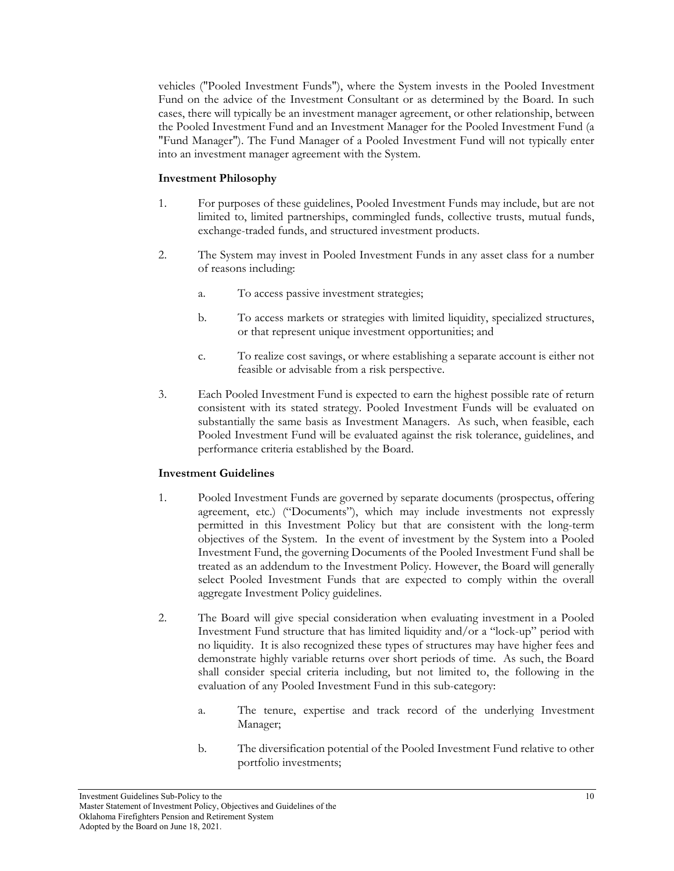vehicles ("Pooled Investment Funds"), where the System invests in the Pooled Investment Fund on the advice of the Investment Consultant or as determined by the Board. In such cases, there will typically be an investment manager agreement, or other relationship, between the Pooled Investment Fund and an Investment Manager for the Pooled Investment Fund (a "Fund Manager"). The Fund Manager of a Pooled Investment Fund will not typically enter into an investment manager agreement with the System.

#### **Investment Philosophy**

- 1. For purposes of these guidelines, Pooled Investment Funds may include, but are not limited to, limited partnerships, commingled funds, collective trusts, mutual funds, exchange-traded funds, and structured investment products.
- 2. The System may invest in Pooled Investment Funds in any asset class for a number of reasons including:
	- a. To access passive investment strategies;
	- b. To access markets or strategies with limited liquidity, specialized structures, or that represent unique investment opportunities; and
	- c. To realize cost savings, or where establishing a separate account is either not feasible or advisable from a risk perspective.
- 3. Each Pooled Investment Fund is expected to earn the highest possible rate of return consistent with its stated strategy. Pooled Investment Funds will be evaluated on substantially the same basis as Investment Managers. As such, when feasible, each Pooled Investment Fund will be evaluated against the risk tolerance, guidelines, and performance criteria established by the Board.

- 1. Pooled Investment Funds are governed by separate documents (prospectus, offering agreement, etc.) ("Documents"), which may include investments not expressly permitted in this Investment Policy but that are consistent with the long-term objectives of the System. In the event of investment by the System into a Pooled Investment Fund, the governing Documents of the Pooled Investment Fund shall be treated as an addendum to the Investment Policy. However, the Board will generally select Pooled Investment Funds that are expected to comply within the overall aggregate Investment Policy guidelines.
- 2. The Board will give special consideration when evaluating investment in a Pooled Investment Fund structure that has limited liquidity and/or a "lock-up" period with no liquidity. It is also recognized these types of structures may have higher fees and demonstrate highly variable returns over short periods of time. As such, the Board shall consider special criteria including, but not limited to, the following in the evaluation of any Pooled Investment Fund in this sub-category:
	- a. The tenure, expertise and track record of the underlying Investment Manager;
	- b. The diversification potential of the Pooled Investment Fund relative to other portfolio investments;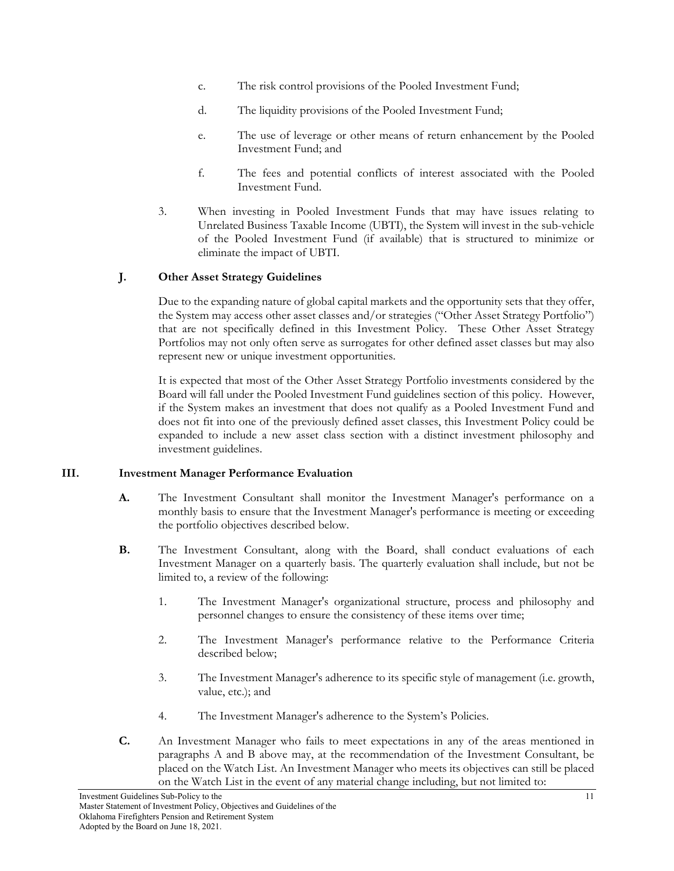- c. The risk control provisions of the Pooled Investment Fund;
- d. The liquidity provisions of the Pooled Investment Fund;
- e. The use of leverage or other means of return enhancement by the Pooled Investment Fund; and
- f. The fees and potential conflicts of interest associated with the Pooled Investment Fund.
- 3. When investing in Pooled Investment Funds that may have issues relating to Unrelated Business Taxable Income (UBTI), the System will invest in the sub-vehicle of the Pooled Investment Fund (if available) that is structured to minimize or eliminate the impact of UBTI.

## **J. Other Asset Strategy Guidelines**

Due to the expanding nature of global capital markets and the opportunity sets that they offer, the System may access other asset classes and/or strategies ("Other Asset Strategy Portfolio") that are not specifically defined in this Investment Policy. These Other Asset Strategy Portfolios may not only often serve as surrogates for other defined asset classes but may also represent new or unique investment opportunities.

It is expected that most of the Other Asset Strategy Portfolio investments considered by the Board will fall under the Pooled Investment Fund guidelines section of this policy. However, if the System makes an investment that does not qualify as a Pooled Investment Fund and does not fit into one of the previously defined asset classes, this Investment Policy could be expanded to include a new asset class section with a distinct investment philosophy and investment guidelines.

#### **III. Investment Manager Performance Evaluation**

- **A.** The Investment Consultant shall monitor the Investment Manager's performance on a monthly basis to ensure that the Investment Manager's performance is meeting or exceeding the portfolio objectives described below.
- **B.** The Investment Consultant, along with the Board, shall conduct evaluations of each Investment Manager on a quarterly basis. The quarterly evaluation shall include, but not be limited to, a review of the following:
	- 1. The Investment Manager's organizational structure, process and philosophy and personnel changes to ensure the consistency of these items over time;
	- 2. The Investment Manager's performance relative to the Performance Criteria described below;
	- 3. The Investment Manager's adherence to its specific style of management (i.e. growth, value, etc.); and
	- 4. The Investment Manager's adherence to the System's Policies.
- **C.** An Investment Manager who fails to meet expectations in any of the areas mentioned in paragraphs A and B above may, at the recommendation of the Investment Consultant, be placed on the Watch List. An Investment Manager who meets its objectives can still be placed on the Watch List in the event of any material change including, but not limited to: